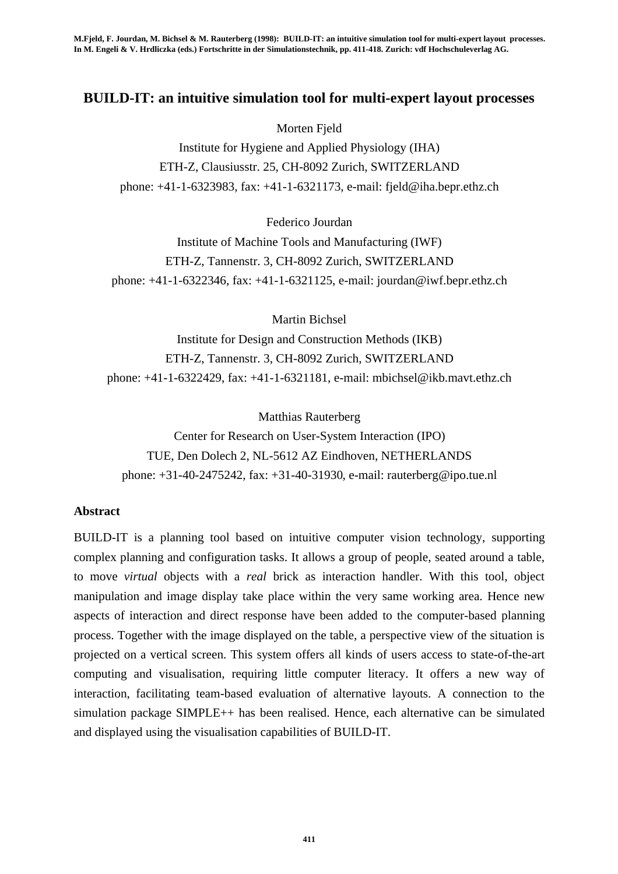# **BUILD-IT: an intuitive simulation tool for multi-expert layout processes**

### Morten Fjeld

Institute for Hygiene and Applied Physiology (IHA) ETH-Z, Clausiusstr. 25, CH-8092 Zurich, SWITZERLAND phone: +41-1-6323983, fax: +41-1-6321173, e-mail: fjeld@iha.bepr.ethz.ch

### Federico Jourdan

Institute of Machine Tools and Manufacturing (IWF) ETH-Z, Tannenstr. 3, CH-8092 Zurich, SWITZERLAND phone: +41-1-6322346, fax: +41-1-6321125, e-mail: jourdan@iwf.bepr.ethz.ch

Martin Bichsel

Institute for Design and Construction Methods (IKB) ETH-Z, Tannenstr. 3, CH-8092 Zurich, SWITZERLAND phone: +41-1-6322429, fax: +41-1-6321181, e-mail: mbichsel@ikb.mavt.ethz.ch

Matthias Rauterberg

Center for Research on User-System Interaction (IPO) TUE, Den Dolech 2, NL-5612 AZ Eindhoven, NETHERLANDS phone: +31-40-2475242, fax: +31-40-31930, e-mail: rauterberg@ipo.tue.nl

#### **Abstract**

BUILD-IT is a planning tool based on intuitive computer vision technology, supporting complex planning and configuration tasks. It allows a group of people, seated around a table, to move *virtual* objects with a *real* brick as interaction handler. With this tool, object manipulation and image display take place within the very same working area. Hence new aspects of interaction and direct response have been added to the computer-based planning process. Together with the image displayed on the table, a perspective view of the situation is projected on a vertical screen. This system offers all kinds of users access to state-of-the-art computing and visualisation, requiring little computer literacy. It offers a new way of interaction, facilitating team-based evaluation of alternative layouts. A connection to the simulation package SIMPLE++ has been realised. Hence, each alternative can be simulated and displayed using the visualisation capabilities of BUILD-IT.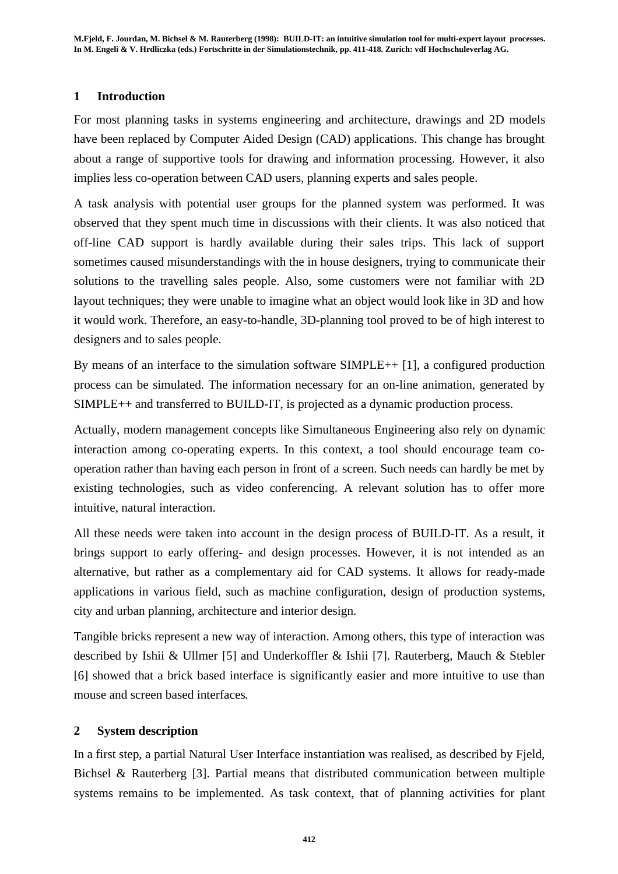## **1 Introduction**

For most planning tasks in systems engineering and architecture, drawings and 2D models have been replaced by Computer Aided Design (CAD) applications. This change has brought about a range of supportive tools for drawing and information processing. However, it also implies less co-operation between CAD users, planning experts and sales people.

A task analysis with potential user groups for the planned system was performed. It was observed that they spent much time in discussions with their clients. It was also noticed that off-line CAD support is hardly available during their sales trips. This lack of support sometimes caused misunderstandings with the in house designers, trying to communicate their solutions to the travelling sales people. Also, some customers were not familiar with 2D layout techniques; they were unable to imagine what an object would look like in 3D and how it would work. Therefore, an easy-to-handle, 3D-planning tool proved to be of high interest to designers and to sales people.

By means of an interface to the simulation software SIMPLE++ [1], a configured production process can be simulated. The information necessary for an on-line animation, generated by SIMPLE++ and transferred to BUILD-IT, is projected as a dynamic production process.

Actually, modern management concepts like Simultaneous Engineering also rely on dynamic interaction among co-operating experts. In this context, a tool should encourage team cooperation rather than having each person in front of a screen. Such needs can hardly be met by existing technologies, such as video conferencing. A relevant solution has to offer more intuitive, natural interaction.

All these needs were taken into account in the design process of BUILD-IT. As a result, it brings support to early offering- and design processes. However, it is not intended as an alternative, but rather as a complementary aid for CAD systems. It allows for ready-made applications in various field, such as machine configuration, design of production systems, city and urban planning, architecture and interior design.

Tangible bricks represent a new way of interaction. Among others, this type of interaction was described by Ishii & Ullmer [5] and Underkoffler & Ishii [7]. Rauterberg, Mauch & Stebler [6] showed that a brick based interface is significantly easier and more intuitive to use than mouse and screen based interfaces.

## **2 System description**

In a first step, a partial Natural User Interface instantiation was realised, as described by Fjeld, Bichsel & Rauterberg [3]. Partial means that distributed communication between multiple systems remains to be implemented. As task context, that of planning activities for plant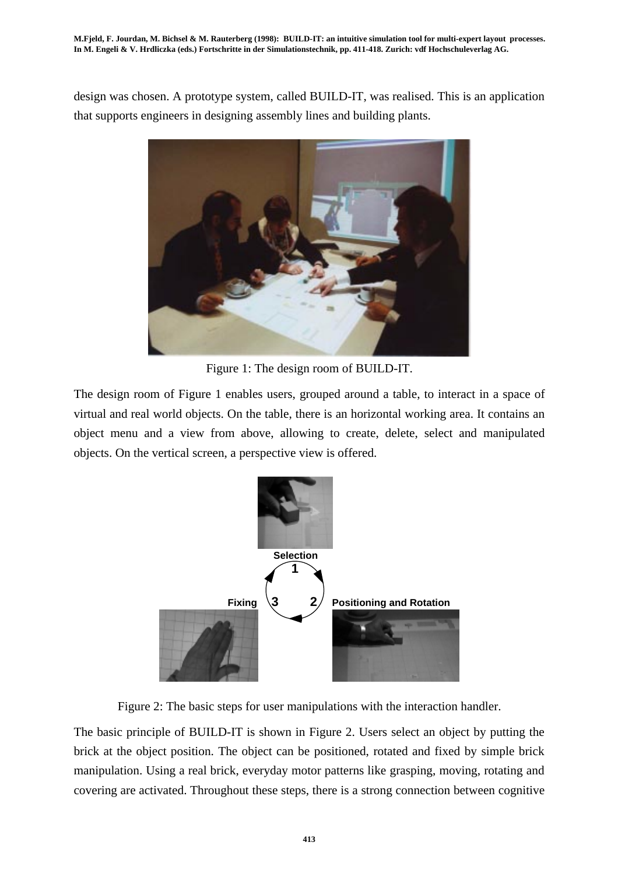design was chosen. A prototype system, called BUILD-IT, was realised. This is an application that supports engineers in designing assembly lines and building plants.



Figure 1: The design room of BUILD-IT.

The design room of Figure 1 enables users, grouped around a table, to interact in a space of virtual and real world objects. On the table, there is an horizontal working area. It contains an object menu and a view from above, allowing to create, delete, select and manipulated objects. On the vertical screen, a perspective view is offered.



Figure 2: The basic steps for user manipulations with the interaction handler.

The basic principle of BUILD-IT is shown in Figure 2. Users select an object by putting the brick at the object position. The object can be positioned, rotated and fixed by simple brick manipulation. Using a real brick, everyday motor patterns like grasping, moving, rotating and covering are activated. Throughout these steps, there is a strong connection between cognitive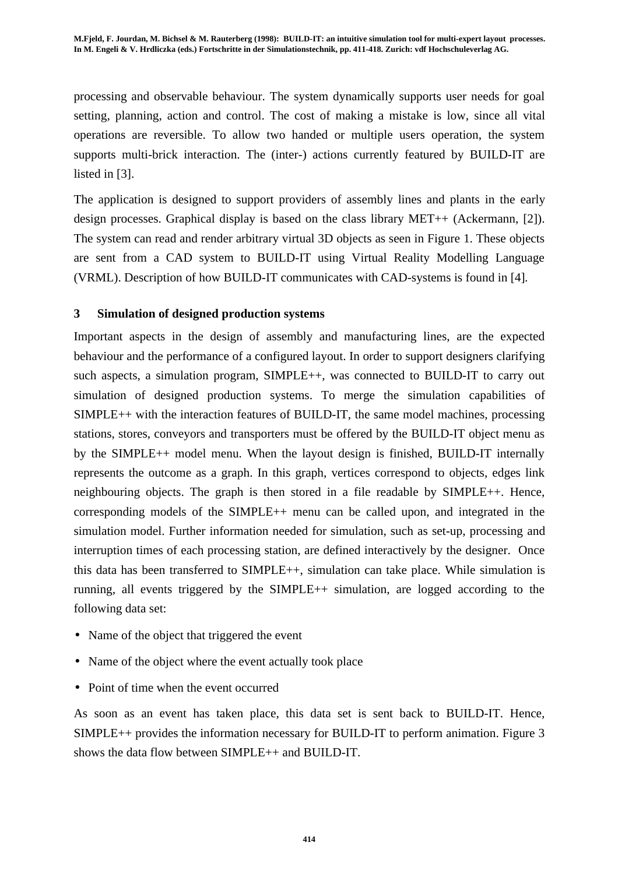processing and observable behaviour. The system dynamically supports user needs for goal setting, planning, action and control. The cost of making a mistake is low, since all vital operations are reversible. To allow two handed or multiple users operation, the system supports multi-brick interaction. The (inter-) actions currently featured by BUILD-IT are listed in [3].

The application is designed to support providers of assembly lines and plants in the early design processes. Graphical display is based on the class library MET++ (Ackermann, [2]). The system can read and render arbitrary virtual 3D objects as seen in Figure 1. These objects are sent from a CAD system to BUILD-IT using Virtual Reality Modelling Language (VRML). Description of how BUILD-IT communicates with CAD-systems is found in [4].

## **3 Simulation of designed production systems**

Important aspects in the design of assembly and manufacturing lines, are the expected behaviour and the performance of a configured layout. In order to support designers clarifying such aspects, a simulation program, SIMPLE++, was connected to BUILD-IT to carry out simulation of designed production systems. To merge the simulation capabilities of SIMPLE++ with the interaction features of BUILD-IT, the same model machines, processing stations, stores, conveyors and transporters must be offered by the BUILD-IT object menu as by the SIMPLE++ model menu. When the layout design is finished, BUILD-IT internally represents the outcome as a graph. In this graph, vertices correspond to objects, edges link neighbouring objects. The graph is then stored in a file readable by SIMPLE++. Hence, corresponding models of the SIMPLE++ menu can be called upon, and integrated in the simulation model. Further information needed for simulation, such as set-up, processing and interruption times of each processing station, are defined interactively by the designer. Once this data has been transferred to SIMPLE++, simulation can take place. While simulation is running, all events triggered by the SIMPLE++ simulation, are logged according to the following data set:

- Name of the object that triggered the event
- Name of the object where the event actually took place
- Point of time when the event occurred

As soon as an event has taken place, this data set is sent back to BUILD-IT. Hence, SIMPLE++ provides the information necessary for BUILD-IT to perform animation. Figure 3 shows the data flow between SIMPLE++ and BUILD-IT.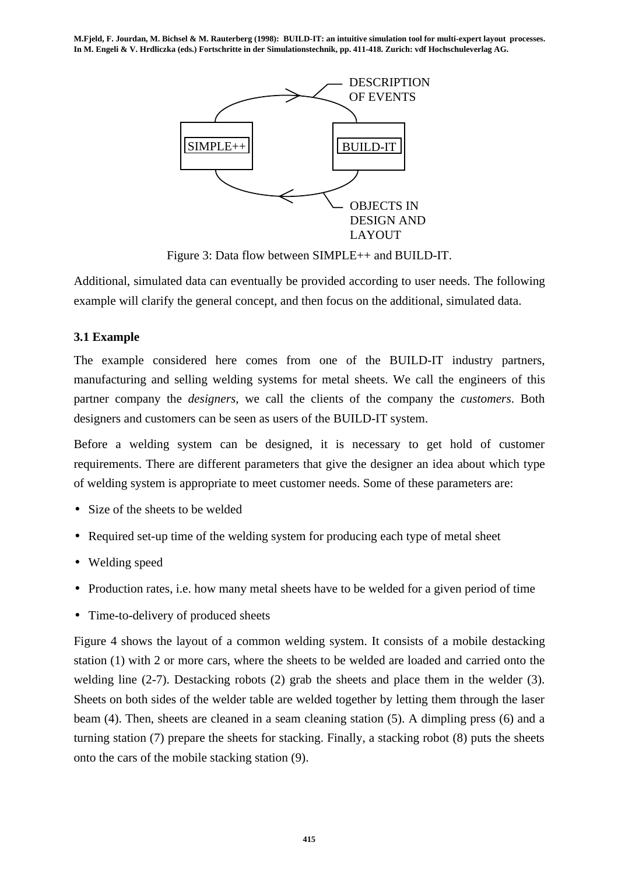**M.Fjeld, F. Jourdan, M. Bichsel & M. Rauterberg (1998): BUILD-IT: an intuitive simulation tool for multi-expert layout processes. In M. Engeli & V. Hrdliczka (eds.) Fortschritte in der Simulationstechnik, pp. 411-418. Zurich: vdf Hochschuleverlag AG.**



Figure 3: Data flow between SIMPLE++ and BUILD-IT.

Additional, simulated data can eventually be provided according to user needs. The following example will clarify the general concept, and then focus on the additional, simulated data.

## **3.1 Example**

The example considered here comes from one of the BUILD-IT industry partners, manufacturing and selling welding systems for metal sheets. We call the engineers of this partner company the *designers*, we call the clients of the company the *customers*. Both designers and customers can be seen as users of the BUILD-IT system.

Before a welding system can be designed, it is necessary to get hold of customer requirements. There are different parameters that give the designer an idea about which type of welding system is appropriate to meet customer needs. Some of these parameters are:

- Size of the sheets to be welded
- Required set-up time of the welding system for producing each type of metal sheet
- Welding speed
- Production rates, i.e. how many metal sheets have to be welded for a given period of time
- Time-to-delivery of produced sheets

Figure 4 shows the layout of a common welding system. It consists of a mobile destacking station (1) with 2 or more cars, where the sheets to be welded are loaded and carried onto the welding line (2-7). Destacking robots (2) grab the sheets and place them in the welder (3). Sheets on both sides of the welder table are welded together by letting them through the laser beam (4). Then, sheets are cleaned in a seam cleaning station (5). A dimpling press (6) and a turning station (7) prepare the sheets for stacking. Finally, a stacking robot (8) puts the sheets onto the cars of the mobile stacking station (9).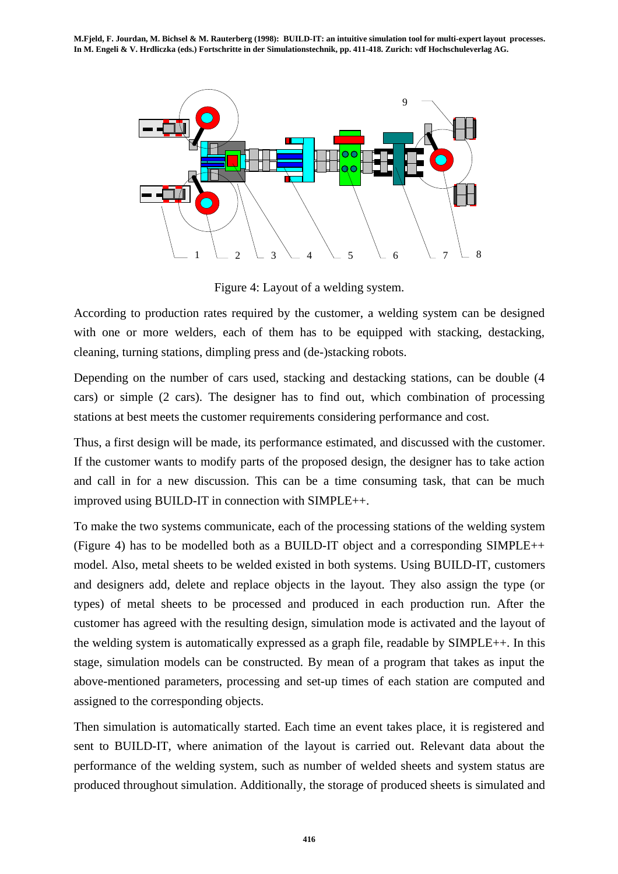

Figure 4: Layout of a welding system.

According to production rates required by the customer, a welding system can be designed with one or more welders, each of them has to be equipped with stacking, destacking, cleaning, turning stations, dimpling press and (de-)stacking robots.

Depending on the number of cars used, stacking and destacking stations, can be double (4 cars) or simple (2 cars). The designer has to find out, which combination of processing stations at best meets the customer requirements considering performance and cost.

Thus, a first design will be made, its performance estimated, and discussed with the customer. If the customer wants to modify parts of the proposed design, the designer has to take action and call in for a new discussion. This can be a time consuming task, that can be much improved using BUILD-IT in connection with SIMPLE++.

To make the two systems communicate, each of the processing stations of the welding system (Figure 4) has to be modelled both as a BUILD-IT object and a corresponding SIMPLE++ model. Also, metal sheets to be welded existed in both systems. Using BUILD-IT, customers and designers add, delete and replace objects in the layout. They also assign the type (or types) of metal sheets to be processed and produced in each production run. After the customer has agreed with the resulting design, simulation mode is activated and the layout of the welding system is automatically expressed as a graph file, readable by SIMPLE++. In this stage, simulation models can be constructed. By mean of a program that takes as input the above-mentioned parameters, processing and set-up times of each station are computed and assigned to the corresponding objects.

Then simulation is automatically started. Each time an event takes place, it is registered and sent to BUILD-IT, where animation of the layout is carried out. Relevant data about the performance of the welding system, such as number of welded sheets and system status are produced throughout simulation. Additionally, the storage of produced sheets is simulated and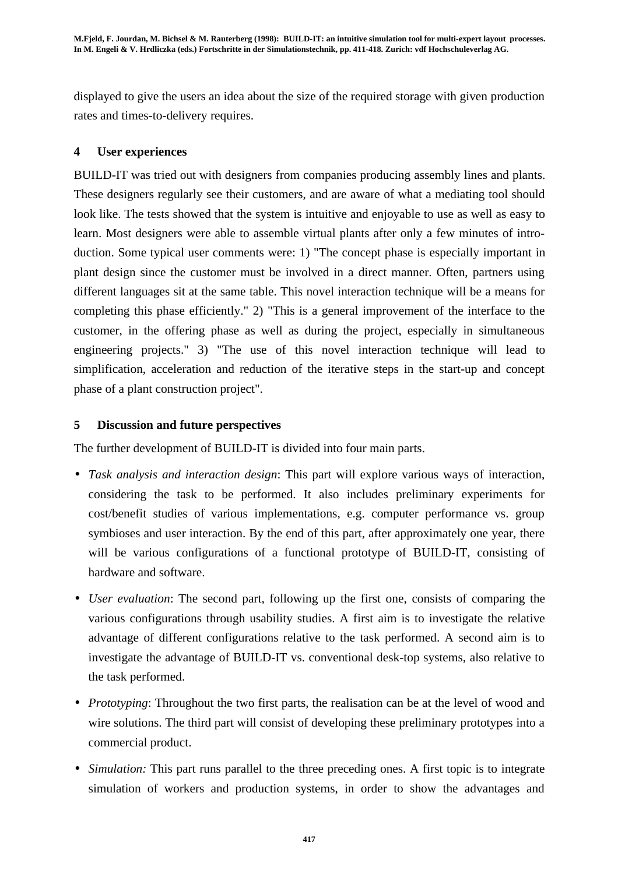displayed to give the users an idea about the size of the required storage with given production rates and times-to-delivery requires.

# **4 User experiences**

BUILD-IT was tried out with designers from companies producing assembly lines and plants. These designers regularly see their customers, and are aware of what a mediating tool should look like. The tests showed that the system is intuitive and enjoyable to use as well as easy to learn. Most designers were able to assemble virtual plants after only a few minutes of introduction. Some typical user comments were: 1) "The concept phase is especially important in plant design since the customer must be involved in a direct manner. Often, partners using different languages sit at the same table. This novel interaction technique will be a means for completing this phase efficiently." 2) "This is a general improvement of the interface to the customer, in the offering phase as well as during the project, especially in simultaneous engineering projects." 3) "The use of this novel interaction technique will lead to simplification, acceleration and reduction of the iterative steps in the start-up and concept phase of a plant construction project".

# **5 Discussion and future perspectives**

The further development of BUILD-IT is divided into four main parts.

- *Task analysis and interaction design*: This part will explore various ways of interaction, considering the task to be performed. It also includes preliminary experiments for cost/benefit studies of various implementations, e.g. computer performance vs. group symbioses and user interaction. By the end of this part, after approximately one year, there will be various configurations of a functional prototype of BUILD-IT, consisting of hardware and software.
- *User evaluation*: The second part, following up the first one, consists of comparing the various configurations through usability studies. A first aim is to investigate the relative advantage of different configurations relative to the task performed. A second aim is to investigate the advantage of BUILD-IT vs. conventional desk-top systems, also relative to the task performed.
- *Prototyping*: Throughout the two first parts, the realisation can be at the level of wood and wire solutions. The third part will consist of developing these preliminary prototypes into a commercial product.
- *Simulation:* This part runs parallel to the three preceding ones. A first topic is to integrate simulation of workers and production systems, in order to show the advantages and